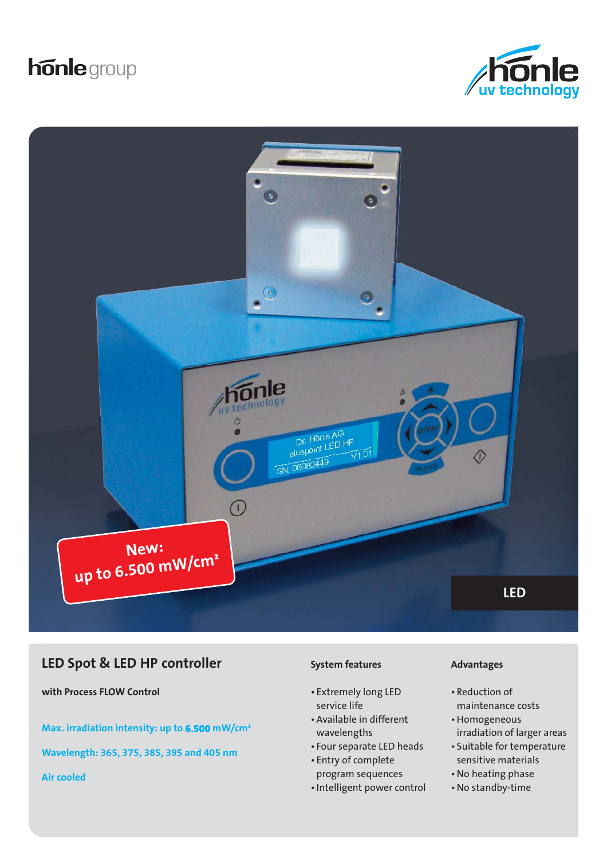# honle group





## **LED Spot & LED HP controller**

**with Process FLOW Control**

**Max. irradiation intensity: up to 6.500 mW/cm²**

**Wavelength: 365, 375, 385, 395 and 405 nm**

**Air cooled**

#### **System features**

- Extremely long LED service life
- Available in different wavelengths
- Four separate LED heads
- Entry of complete program sequences
- Intelligent power control

#### **Advantages**

- Reduction of maintenance costs
- Homogeneous irradiation of larger areas
- Suitable for temperature sensitive materials
- No heating phase
- No standby-time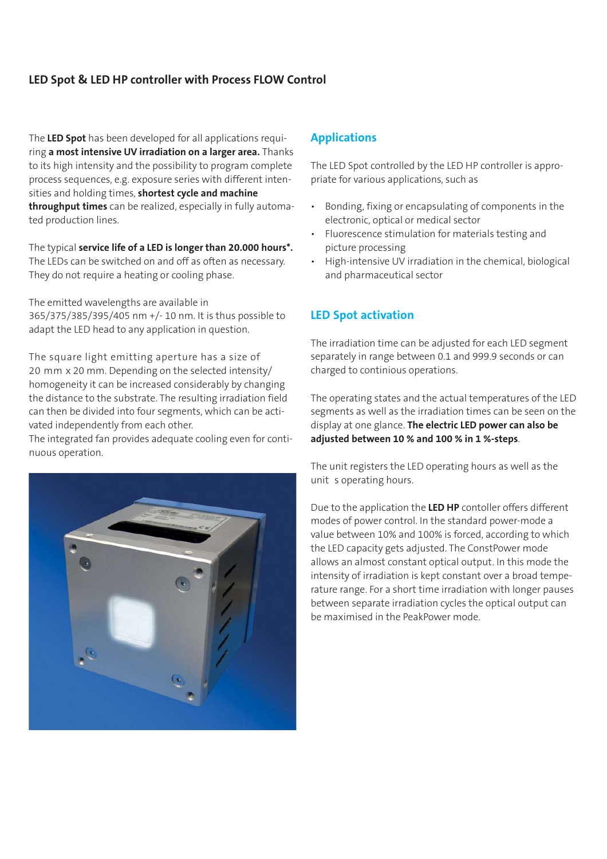## **LED Spot & LED HP controller with Process FLOW Control**

The **LED Spot** has been developed for all applications requiring **a most intensive UV irradiation on a larger area.** Thanks to its high intensity and the possibility to program complete process sequences, e.g. exposure series with different intensities and holding times, **shortest cycle and machine throughput times** can be realized, especially in fully automated production lines.

The typical **service life of a LED is longer than 20.000 hours\*.** The LEDs can be switched on and off as often as necessary. They do not require a heating or cooling phase.

The emitted wavelengths are available in 365/375/385/395/405 nm +/- 10 nm. It is thus possible to adapt the LED head to any application in question.

The square light emitting aperture has a size of 20 mm x 20 mm. Depending on the selected intensity/ homogeneity it can be increased considerably by changing the distance to the substrate. The resulting irradiation field can then be divided into four segments, which can be activated independently from each other.

The integrated fan provides adequate cooling even for continuous operation.



#### **Applications**

The LED Spot controlled by the LED HP controller is appropriate for various applications, such as

- Bonding, fixing or encapsulating of components in the electronic, optical or medical sector
- Fluorescence stimulation for materials testing and picture processing
- High-intensive UV irradiation in the chemical, biological and pharmaceutical sector

## **LED Spot activation**

The irradiation time can be adjusted for each LED segment separately in range between 0.1 and 999.9 seconds or can charged to continious operations.

The operating states and the actual temperatures of the LED segments as well as the irradiation times can be seen on the display at one glance. **The electric LED power can also be adjusted between 10 % and 100 % in 1 %-steps**.

The unit registers the LED operating hours as well as the unit s operating hours.

Due to the application the **LED HP** contoller offers different modes of power control. In the standard power-mode a value between 10% and 100% is forced, according to which the LED capacity gets adjusted. The ConstPower mode allows an almost constant optical output. In this mode the intensity of irradiation is kept constant over a broad temperature range. For a short time irradiation with longer pauses between separate irradiation cycles the optical output can be maximised in the PeakPower mode.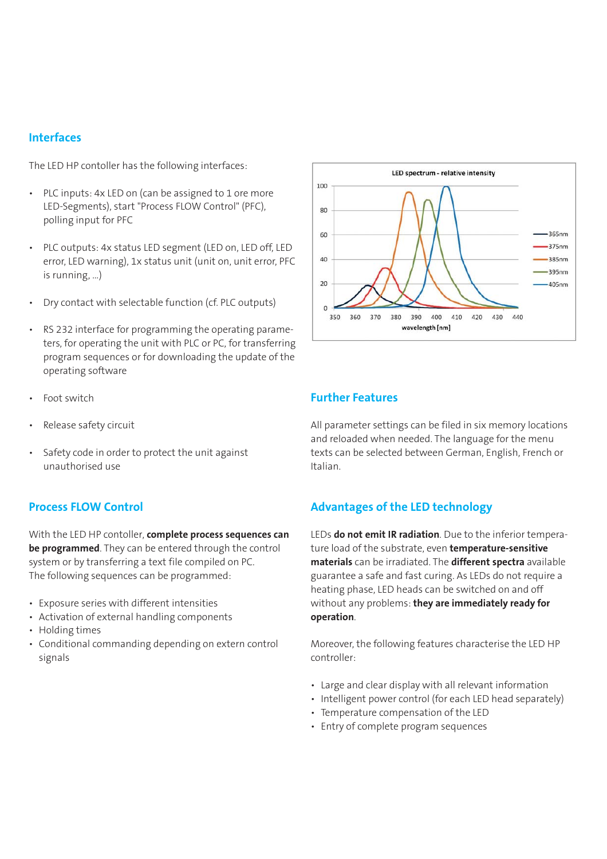#### **Interfaces**

The LED HP contoller has the following interfaces:

- PLC inputs: 4x LED on (can be assigned to 1 ore more LED-Segments), start "Process FLOW Control" (PFC), polling input for PFC
- PLC outputs: 4x status LED segment (LED on, LED off, LED error, LED warning), 1x status unit (unit on, unit error, PFC is running, …)
- Dry contact with selectable function (cf. PLC outputs)
- RS 232 interface for programming the operating parameters, for operating the unit with PLC or PC, for transferring program sequences or for downloading the update of the operating software
- Foot switch
- Release safety circuit
- Safety code in order to protect the unit against unauthorised use

#### **Process FLOW Control**

With the LED HP contoller, **complete process sequences can be programmed**. They can be entered through the control system or by transferring a text file compiled on PC. The following sequences can be programmed:

- Exposure series with different intensities
- Activation of external handling components
- Holding times
- Conditional commanding depending on extern control signals



## **Further Features**

All parameter settings can be filed in six memory locations and reloaded when needed. The language for the menu texts can be selected between German, English, French or Italian.

### **Advantages of the LED technology**

LEDs **do not emit IR radiation**. Due to the inferior temperature load of the substrate, even **temperature-sensitive materials** can be irradiated. The **different spectra** available guarantee a safe and fast curing. As LEDs do not require a heating phase, LED heads can be switched on and off without any problems: **they are immediately ready for operation**.

Moreover, the following features characterise the LED HP controller:

- Large and clear display with all relevant information
- Intelligent power control (for each LED head separately)
- Temperature compensation of the LED
- Entry of complete program sequences